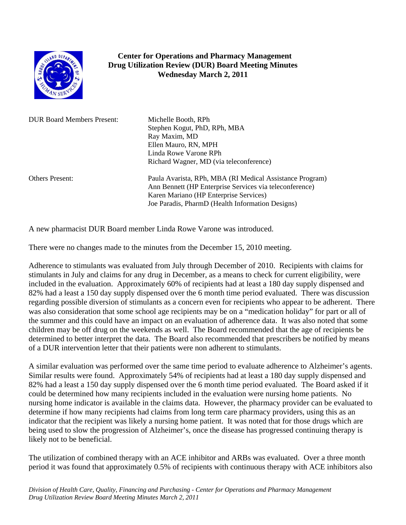

## **Center for Operations and Pharmacy Management Drug Utilization Review (DUR) Board Meeting Minutes Wednesday March 2, 2011**

DUR Board Members Present: Michelle Booth, RPh

Stephen Kogut, PhD, RPh, MBA Ray Maxim, MD Ellen Mauro, RN, MPH Linda Rowe Varone RPh Richard Wagner, MD (via teleconference)

Others Present: Paula Avarista, RPh, MBA (RI Medical Assistance Program) Ann Bennett (HP Enterprise Services via teleconference) Karen Mariano (HP Enterprise Services) Joe Paradis, PharmD (Health Information Designs)

A new pharmacist DUR Board member Linda Rowe Varone was introduced.

There were no changes made to the minutes from the December 15, 2010 meeting.

Adherence to stimulants was evaluated from July through December of 2010. Recipients with claims for stimulants in July and claims for any drug in December, as a means to check for current eligibility, were included in the evaluation. Approximately 60% of recipients had at least a 180 day supply dispensed and 82% had a least a 150 day supply dispensed over the 6 month time period evaluated. There was discussion regarding possible diversion of stimulants as a concern even for recipients who appear to be adherent. There was also consideration that some school age recipients may be on a "medication holiday" for part or all of the summer and this could have an impact on an evaluation of adherence data. It was also noted that some children may be off drug on the weekends as well. The Board recommended that the age of recipients be determined to better interpret the data. The Board also recommended that prescribers be notified by means of a DUR intervention letter that their patients were non adherent to stimulants.

A similar evaluation was performed over the same time period to evaluate adherence to Alzheimer's agents. Similar results were found. Approximately 54% of recipients had at least a 180 day supply dispensed and 82% had a least a 150 day supply dispensed over the 6 month time period evaluated. The Board asked if it could be determined how many recipients included in the evaluation were nursing home patients. No nursing home indicator is available in the claims data. However, the pharmacy provider can be evaluated to determine if how many recipients had claims from long term care pharmacy providers, using this as an indicator that the recipient was likely a nursing home patient. It was noted that for those drugs which are being used to slow the progression of Alzheimer's, once the disease has progressed continuing therapy is likely not to be beneficial.

The utilization of combined therapy with an ACE inhibitor and ARBs was evaluated. Over a three month period it was found that approximately 0.5% of recipients with continuous therapy with ACE inhibitors also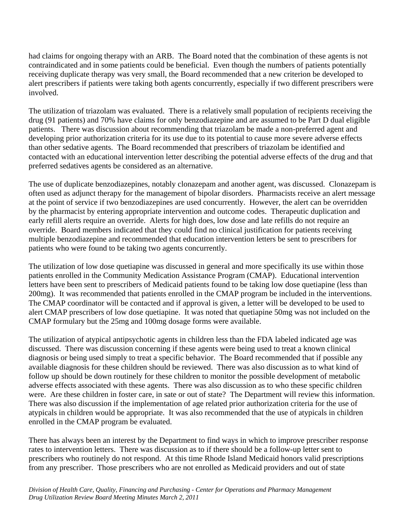had claims for ongoing therapy with an ARB. The Board noted that the combination of these agents is not contraindicated and in some patients could be beneficial. Even though the numbers of patients potentially receiving duplicate therapy was very small, the Board recommended that a new criterion be developed to alert prescribers if patients were taking both agents concurrently, especially if two different prescribers were involved.

The utilization of triazolam was evaluated. There is a relatively small population of recipients receiving the drug (91 patients) and 70% have claims for only benzodiazepine and are assumed to be Part D dual eligible patients. There was discussion about recommending that triazolam be made a non-preferred agent and developing prior authorization criteria for its use due to its potential to cause more severe adverse effects than other sedative agents. The Board recommended that prescribers of triazolam be identified and contacted with an educational intervention letter describing the potential adverse effects of the drug and that preferred sedatives agents be considered as an alternative.

The use of duplicate benzodiazepines, notably clonazepam and another agent, was discussed. Clonazepam is often used as adjunct therapy for the management of bipolar disorders. Pharmacists receive an alert message at the point of service if two benzodiazepines are used concurrently. However, the alert can be overridden by the pharmacist by entering appropriate intervention and outcome codes. Therapeutic duplication and early refill alerts require an override. Alerts for high does, low dose and late refills do not require an override. Board members indicated that they could find no clinical justification for patients receiving multiple benzodiazepine and recommended that education intervention letters be sent to prescribers for patients who were found to be taking two agents concurrently.

The utilization of low dose quetiapine was discussed in general and more specifically its use within those patients enrolled in the Community Medication Assistance Program (CMAP). Educational intervention letters have been sent to prescribers of Medicaid patients found to be taking low dose quetiapine (less than 200mg). It was recommended that patients enrolled in the CMAP program be included in the interventions. The CMAP coordinator will be contacted and if approval is given, a letter will be developed to be used to alert CMAP prescribers of low dose quetiapine. It was noted that quetiapine 50mg was not included on the CMAP formulary but the 25mg and 100mg dosage forms were available.

The utilization of atypical antipsychotic agents in children less than the FDA labeled indicated age was discussed. There was discussion concerning if these agents were being used to treat a known clinical diagnosis or being used simply to treat a specific behavior. The Board recommended that if possible any available diagnosis for these children should be reviewed. There was also discussion as to what kind of follow up should be down routinely for these children to monitor the possible development of metabolic adverse effects associated with these agents. There was also discussion as to who these specific children were. Are these children in foster care, in sate or out of state? The Department will review this information. There was also discussion if the implementation of age related prior authorization criteria for the use of atypicals in children would be appropriate. It was also recommended that the use of atypicals in children enrolled in the CMAP program be evaluated.

There has always been an interest by the Department to find ways in which to improve prescriber response rates to intervention letters. There was discussion as to if there should be a follow-up letter sent to prescribers who routinely do not respond. At this time Rhode Island Medicaid honors valid prescriptions from any prescriber. Those prescribers who are not enrolled as Medicaid providers and out of state